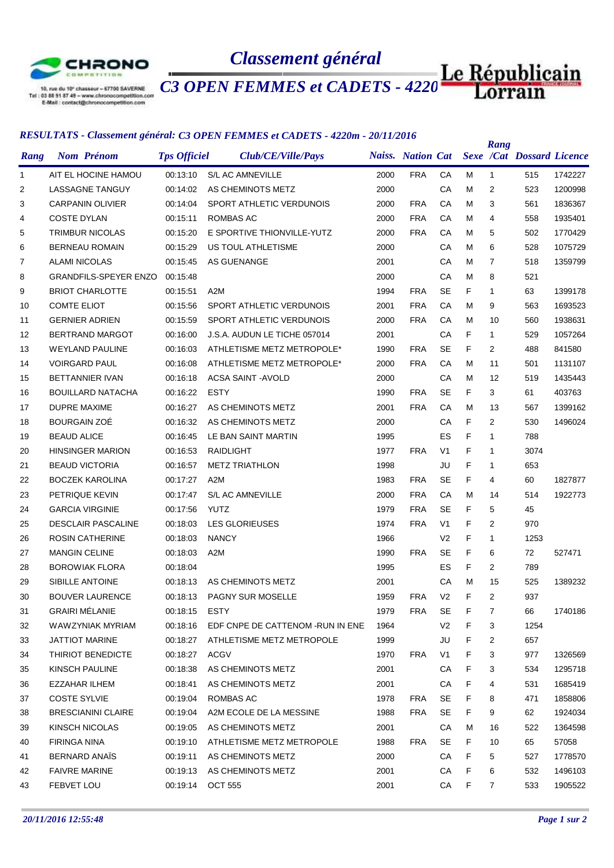

## *Classement général*

*C3 OPEN FEMMES et CADETS - 4220m*

## *RESULTATS - Classement général: C3 OPEN FEMMES et CADETS - 4220m - 20/11/2016*

|              |                        | кело етно - сазветет кенета. Оз от его геминел се сло его - 4220m - 20/11/2010 |                     |                         |                                   |  |      |            |                |   | Rang           |                                             |         |
|--------------|------------------------|--------------------------------------------------------------------------------|---------------------|-------------------------|-----------------------------------|--|------|------------|----------------|---|----------------|---------------------------------------------|---------|
| Rang         |                        | <b>Nom Prénom</b>                                                              | <b>Tps Officiel</b> |                         | Club/CE/Ville/Pays                |  |      |            |                |   |                | Naiss. Nation Cat Sexe /Cat Dossard Licence |         |
| $\mathbf{1}$ |                        | AIT EL HOCINE HAMOU                                                            | 00:13:10            | <b>S/L AC AMNEVILLE</b> |                                   |  | 2000 | <b>FRA</b> | СA             | м | $\mathbf{1}$   | 515                                         | 1742227 |
| 2            |                        | LASSAGNE TANGUY                                                                | 00:14:02            |                         | AS CHEMINOTS METZ                 |  | 2000 |            | CA             | М | $\overline{2}$ | 523                                         | 1200998 |
| 3            |                        | <b>CARPANIN OLIVIER</b>                                                        | 00:14:04            |                         | SPORT ATHLETIC VERDUNOIS          |  | 2000 | <b>FRA</b> | CA             | M | 3              | 561                                         | 1836367 |
| 4            | <b>COSTE DYLAN</b>     |                                                                                | 00:15:11            | <b>ROMBAS AC</b>        |                                   |  | 2000 | <b>FRA</b> | CA             | м | 4              | 558                                         | 1935401 |
| 5            |                        | <b>TRIMBUR NICOLAS</b>                                                         | 00:15:20            |                         | E SPORTIVE THIONVILLE-YUTZ        |  | 2000 | <b>FRA</b> | CA             | М | 5              | 502                                         | 1770429 |
| 6            |                        | <b>BERNEAU ROMAIN</b>                                                          | 00:15:29            |                         | US TOUL ATHLETISME                |  | 2000 |            | СA             | м | 6              | 528                                         | 1075729 |
| 7            | <b>ALAMI NICOLAS</b>   |                                                                                | 00:15:45            | AS GUENANGE             |                                   |  | 2001 |            | CA             | М | $\overline{7}$ | 518                                         | 1359799 |
| 8            |                        | <b>GRANDFILS-SPEYER ENZO</b>                                                   | 00:15:48            |                         |                                   |  | 2000 |            | CA             | М | 8              | 521                                         |         |
| 9            |                        | <b>BRIOT CHARLOTTE</b>                                                         | 00:15:51            | A2M                     |                                   |  | 1994 | <b>FRA</b> | <b>SE</b>      | F | $\mathbf{1}$   | 63                                          | 1399178 |
| 10           | <b>COMTE ELIOT</b>     |                                                                                | 00:15:56            |                         | SPORT ATHLETIC VERDUNOIS          |  | 2001 | <b>FRA</b> | CA             | М | 9              | 563                                         | 1693523 |
| 11           | <b>GERNIER ADRIEN</b>  |                                                                                | 00:15:59            |                         | SPORT ATHLETIC VERDUNOIS          |  | 2000 | <b>FRA</b> | CA             | м | 10             | 560                                         | 1938631 |
| 12           |                        | <b>BERTRAND MARGOT</b>                                                         | 00:16:00            |                         | J.S.A. AUDUN LE TICHE 057014      |  | 2001 |            | CA             | F | 1              | 529                                         | 1057264 |
| 13           |                        | <b>WEYLAND PAULINE</b>                                                         | 00:16:03            |                         | ATHLETISME METZ METROPOLE*        |  | 1990 | <b>FRA</b> | <b>SE</b>      | F | $\overline{2}$ | 488                                         | 841580  |
| 14           | <b>VOIRGARD PAUL</b>   |                                                                                | 00:16:08            |                         | ATHLETISME METZ METROPOLE*        |  | 2000 | <b>FRA</b> | CA             | м | 11             | 501                                         | 1131107 |
| 15           |                        | <b>BETTANNIER IVAN</b>                                                         | 00:16:18            |                         | ACSA SAINT - AVOLD                |  | 2000 |            | СA             | м | 12             | 519                                         | 1435443 |
| 16           |                        | <b>BOUILLARD NATACHA</b>                                                       | 00:16:22            | <b>ESTY</b>             |                                   |  | 1990 | <b>FRA</b> | <b>SE</b>      | F | 3              | 61                                          | 403763  |
| 17           | <b>DUPRE MAXIME</b>    |                                                                                | 00:16:27            |                         | AS CHEMINOTS METZ                 |  | 2001 | <b>FRA</b> | CA             | м | 13             | 567                                         | 1399162 |
| 18           | <b>BOURGAIN ZOE</b>    |                                                                                | 00:16:32            |                         | AS CHEMINOTS METZ                 |  | 2000 |            | CA             | F | $\overline{2}$ | 530                                         | 1496024 |
| 19           | <b>BEAUD ALICE</b>     |                                                                                | 00:16:45            |                         | LE BAN SAINT MARTIN               |  | 1995 |            | ES             | F | 1              | 788                                         |         |
| 20           |                        | <b>HINSINGER MARION</b>                                                        | 00:16:53            | <b>RAIDLIGHT</b>        |                                   |  | 1977 | <b>FRA</b> | V <sub>1</sub> | F | $\mathbf{1}$   | 3074                                        |         |
| 21           | <b>BEAUD VICTORIA</b>  |                                                                                | 00:16:57            | <b>METZ TRIATHLON</b>   |                                   |  | 1998 |            | JU             | F | 1              | 653                                         |         |
| 22           |                        | <b>BOCZEK KAROLINA</b>                                                         | 00:17:27            | A2M                     |                                   |  | 1983 | <b>FRA</b> | <b>SE</b>      | F | 4              | 60                                          | 1827877 |
| 23           | PETRIQUE KEVIN         |                                                                                | 00:17:47            | <b>S/L AC AMNEVILLE</b> |                                   |  | 2000 | <b>FRA</b> | CA             | М | 14             | 514                                         | 1922773 |
| 24           | <b>GARCIA VIRGINIE</b> |                                                                                | 00:17:56            | YUTZ                    |                                   |  | 1979 | <b>FRA</b> | <b>SE</b>      | F | 5              | 45                                          |         |
| 25           |                        | <b>DESCLAIR PASCALINE</b>                                                      | 00:18:03            | <b>LES GLORIEUSES</b>   |                                   |  | 1974 | <b>FRA</b> | V <sub>1</sub> | F | 2              | 970                                         |         |
| 26           |                        | <b>ROSIN CATHERINE</b>                                                         | 00:18:03            | <b>NANCY</b>            |                                   |  | 1966 |            | V <sub>2</sub> | F | 1              | 1253                                        |         |
| 27           | <b>MANGIN CELINE</b>   |                                                                                | 00:18:03            | A <sub>2</sub> M        |                                   |  | 1990 | <b>FRA</b> | <b>SE</b>      | F | 6              | 72                                          | 527471  |
| 28           |                        | <b>BOROWIAK FLORA</b>                                                          | 00:18:04            |                         |                                   |  | 1995 |            | ES             | F | $\overline{2}$ | 789                                         |         |
| 29           | <b>SIBILLE ANTOINE</b> |                                                                                | 00:18:13            |                         | AS CHEMINOTS METZ                 |  | 2001 |            | CA             | M | 15             | 525                                         | 1389232 |
| 30           |                        | <b>BOUVER LAURENCE</b>                                                         | 00:18:13            |                         | PAGNY SUR MOSELLE                 |  | 1959 | <b>FRA</b> | V <sub>2</sub> | F | 2              | 937                                         |         |
| 31           | <b>GRAIRI MÉLANIE</b>  |                                                                                | 00:18:15            | <b>ESTY</b>             |                                   |  | 1979 | <b>FRA</b> | <b>SE</b>      | F | 7              | 66                                          | 1740186 |
| 32           |                        | WAWZYNIAK MYRIAM                                                               | 00:18:16            |                         | EDF CNPE DE CATTENOM - RUN IN ENE |  | 1964 |            | V <sub>2</sub> | F | 3              | 1254                                        |         |
| 33           | <b>JATTIOT MARINE</b>  |                                                                                | 00:18:27            |                         | ATHLETISME METZ METROPOLE         |  | 1999 |            | JU             | F | 2              | 657                                         |         |
| 34           |                        | THIRIOT BENEDICTE                                                              | 00:18:27            | <b>ACGV</b>             |                                   |  | 1970 | <b>FRA</b> | V <sub>1</sub> | F | 3              | 977                                         | 1326569 |
| 35           | KINSCH PAULINE         |                                                                                | 00:18:38            |                         | AS CHEMINOTS METZ                 |  | 2001 |            | CA             | F | 3              | 534                                         | 1295718 |
| 36           | EZZAHAR ILHEM          |                                                                                | 00:18:41            |                         | AS CHEMINOTS METZ                 |  | 2001 |            | CA             | F | 4              | 531                                         | 1685419 |
| 37           | <b>COSTE SYLVIE</b>    |                                                                                | 00:19:04            | ROMBAS AC               |                                   |  | 1978 | <b>FRA</b> | SE             | F | 8              | 471                                         | 1858806 |
| 38           |                        | <b>BRESCIANINI CLAIRE</b>                                                      | 00:19:04            |                         | A2M ECOLE DE LA MESSINE           |  | 1988 | <b>FRA</b> | <b>SE</b>      | F | 9              | 62                                          | 1924034 |
| 39           | KINSCH NICOLAS         |                                                                                | 00:19:05            |                         | AS CHEMINOTS METZ                 |  | 2001 |            | CA             | м | 16             | 522                                         | 1364598 |
| 40           | <b>FIRINGA NINA</b>    |                                                                                | 00:19:10            |                         | ATHLETISME METZ METROPOLE         |  | 1988 | <b>FRA</b> | SE             | F | 10             | 65                                          | 57058   |
| 41           | <b>BERNARD ANAIS</b>   |                                                                                | 00:19:11            |                         | AS CHEMINOTS METZ                 |  | 2000 |            | CA             | F | 5              | 527                                         | 1778570 |
| 42           | <b>FAIVRE MARINE</b>   |                                                                                | 00:19:13            |                         | AS CHEMINOTS METZ                 |  | 2001 |            | CA             | F | 6              | 532                                         | 1496103 |
| 43           | FEBVET LOU             |                                                                                | 00:19:14            | <b>OCT 555</b>          |                                   |  | 2001 |            | CA             | F | $\overline{7}$ | 533                                         | 1905522 |